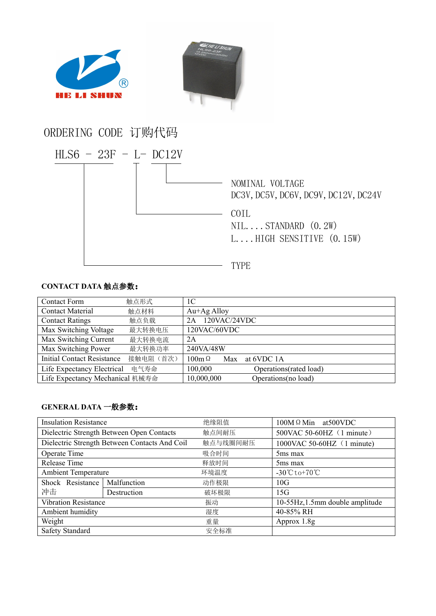

## **CONTACT DATA** 触点参数:

| <b>Contact Form</b>               | 触点形式      | 1 <sup>C</sup>                     |
|-----------------------------------|-----------|------------------------------------|
| <b>Contact Material</b>           | 触点材料      | $Au+Ag$ Alloy                      |
| <b>Contact Ratings</b>            | 触点负载      | 120VAC/24VDC<br>2A                 |
| Max Switching Voltage             | 最大转换电压    | 120VAC/60VDC                       |
| Max Switching Current             | 最大转换电流    | 2A                                 |
| Max Switching Power               | 最大转换功率    | 240VA/48W                          |
| <b>Initial Contact Resistance</b> | 接触电阻 (首次) | $100m \Omega$<br>at 6VDC 1A<br>Max |
| Life Expectancy Electrical        | 电气寿命      | 100,000<br>Operations (rated load) |
| Life Expectancy Mechanical 机械寿命   |           | 10,000,000<br>Operations(no load)  |

## **GENERAL DATA** 一般参数:

| <b>Insulation Resistance</b>                  |             | 绝缘阻值     | $100M \Omega$ Min at 500 VDC                    |  |
|-----------------------------------------------|-------------|----------|-------------------------------------------------|--|
| Dielectric Strength Between Open Contacts     |             | 触点间耐压    | 500VAC 50-60HZ (1 minute)                       |  |
| Dielectric Strength Between Contacts And Coil |             | 触点与线圈间耐压 | 1000VAC 50-60HZ (1 minute)                      |  |
| Operate Time                                  |             | 吸合时间     | 5 <sub>ms</sub> max                             |  |
| Release Time                                  |             | 释放时间     | 5 <sub>ms</sub> max                             |  |
| <b>Ambient Temperature</b>                    |             | 环境温度     | $-30^{\circ}\text{C}$ to +70 $^{\circ}\text{C}$ |  |
| Shock Resistance                              | Malfunction | 动作极限     | 10G                                             |  |
| 冲击                                            | Destruction | 破坏极限     | 15G                                             |  |
| <b>Vibration Resistance</b>                   |             | 振动       | 10-55Hz, 1.5mm double amplitude                 |  |
| Ambient humidity                              |             | 湿度       | 40-85% RH                                       |  |
| Weight                                        |             | 重量       | Approx 1.8g                                     |  |
| Safety Standard                               |             | 安全标准     |                                                 |  |